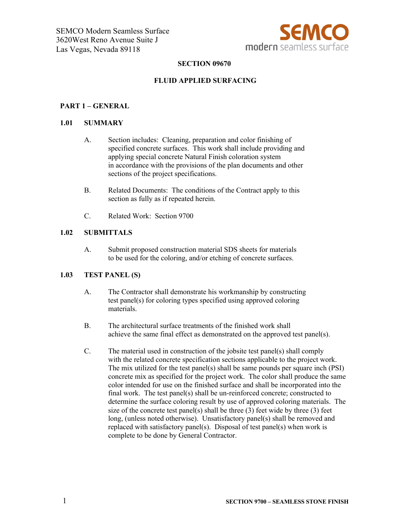

# **SECTION 09670**

# **FLUID APPLIED SURFACING**

#### **PART 1 – GENERAL**

#### **1.01 SUMMARY**

- A. Section includes: Cleaning, preparation and color finishing of specified concrete surfaces. This work shall include providing and applying special concrete Natural Finish coloration system in accordance with the provisions of the plan documents and other sections of the project specifications.
- B. Related Documents: The conditions of the Contract apply to this section as fully as if repeated herein.
- C. Related Work: Section 9700

## **1.02 SUBMITTALS**

A. Submit proposed construction material SDS sheets for materials to be used for the coloring, and/or etching of concrete surfaces.

# **1.03 TEST PANEL (S)**

- A. The Contractor shall demonstrate his workmanship by constructing test panel(s) for coloring types specified using approved coloring materials.
- B. The architectural surface treatments of the finished work shall achieve the same final effect as demonstrated on the approved test panel(s).
- C. The material used in construction of the jobsite test panel(s) shall comply with the related concrete specification sections applicable to the project work. The mix utilized for the test panel(s) shall be same pounds per square inch (PSI) concrete mix as specified for the project work. The color shall produce the same color intended for use on the finished surface and shall be incorporated into the final work. The test panel(s) shall be un-reinforced concrete; constructed to determine the surface coloring result by use of approved coloring materials. The size of the concrete test panel(s) shall be three  $(3)$  feet wide by three  $(3)$  feet long, (unless noted otherwise). Unsatisfactory panel(s) shall be removed and replaced with satisfactory panel(s). Disposal of test panel(s) when work is complete to be done by General Contractor.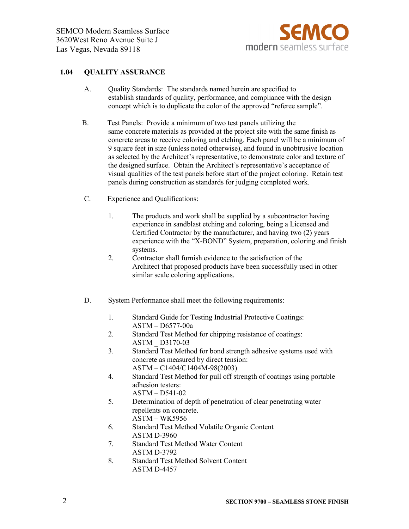

# **1.04 QUALITY ASSURANCE**

- A. Quality Standards: The standards named herein are specified to establish standards of quality, performance, and compliance with the design concept which is to duplicate the color of the approved "referee sample".
- B. Test Panels: Provide a minimum of two test panels utilizing the same concrete materials as provided at the project site with the same finish as concrete areas to receive coloring and etching. Each panel will be a minimum of 9 square feet in size (unless noted otherwise), and found in unobtrusive location as selected by the Architect's representative, to demonstrate color and texture of the designed surface. Obtain the Architect's representative's acceptance of visual qualities of the test panels before start of the project coloring. Retain test panels during construction as standards for judging completed work.
- C. Experience and Qualifications:
	- 1. The products and work shall be supplied by a subcontractor having experience in sandblast etching and coloring, being a Licensed and Certified Contractor by the manufacturer, and having two (2) years experience with the "X-BOND" System, preparation, coloring and finish systems.
	- 2. Contractor shall furnish evidence to the satisfaction of the Architect that proposed products have been successfully used in other similar scale coloring applications.
- D. System Performance shall meet the following requirements:
	- 1. Standard Guide for Testing Industrial Protective Coatings: ASTM – D6577-00a
	- 2. Standard Test Method for chipping resistance of coatings: ASTM \_ D3170-03
	- 3. Standard Test Method for bond strength adhesive systems used with concrete as measured by direct tension: ASTM – C1404/C1404M-98(2003)
	- 4. Standard Test Method for pull off strength of coatings using portable adhesion testers: ASTM – D541-02
	- 5. Determination of depth of penetration of clear penetrating water repellents on concrete. ASTM – WK5956
	- 6. Standard Test Method Volatile Organic Content ASTM D-3960
	- 7. Standard Test Method Water Content ASTM D-3792
	- 8. Standard Test Method Solvent Content ASTM D-4457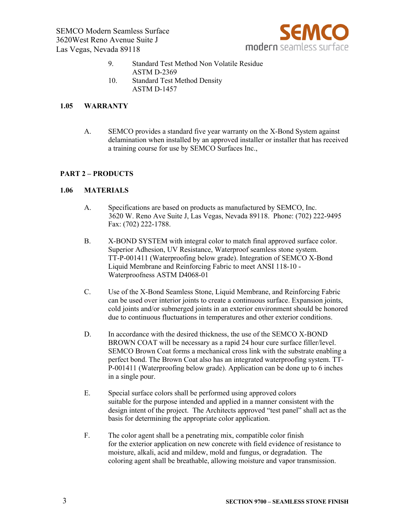SEMCO Modern Seamless Surface 3620West Reno Avenue Suite J Las Vegas, Nevada 89118



- 9. Standard Test Method Non Volatile Residue ASTM D-2369 10. Standard Test Method Density
- ASTM D-1457

#### **1.05 WARRANTY**

A. SEMCO provides a standard five year warranty on the X-Bond System against delamination when installed by an approved installer or installer that has received a training course for use by SEMCO Surfaces Inc.,

## **PART 2 – PRODUCTS**

#### **1.06 MATERIALS**

- A. Specifications are based on products as manufactured by SEMCO, Inc. 3620 W. Reno Ave Suite J, Las Vegas, Nevada 89118. Phone: (702) 222-9495 Fax: (702) 222-1788.
- B. X-BOND SYSTEM with integral color to match final approved surface color. Superior Adhesion, UV Resistance, Waterproof seamless stone system. TT-P-001411 (Waterproofing below grade). Integration of SEMCO X-Bond Liquid Membrane and Reinforcing Fabric to meet ANSI 118-10 - Waterproofness ASTM D4068-01
- C. Use of the X-Bond Seamless Stone, Liquid Membrane, and Reinforcing Fabric can be used over interior joints to create a continuous surface. Expansion joints, cold joints and/or submerged joints in an exterior environment should be honored due to continuous fluctuations in temperatures and other exterior conditions.
- D. In accordance with the desired thickness, the use of the SEMCO X-BOND BROWN COAT will be necessary as a rapid 24 hour cure surface filler/level. SEMCO Brown Coat forms a mechanical cross link with the substrate enabling a perfect bond. The Brown Coat also has an integrated waterproofing system. TT-P-001411 (Waterproofing below grade). Application can be done up to 6 inches in a single pour.
- E. Special surface colors shall be performed using approved colors suitable for the purpose intended and applied in a manner consistent with the design intent of the project. The Architects approved "test panel" shall act as the basis for determining the appropriate color application.
- F. The color agent shall be a penetrating mix, compatible color finish for the exterior application on new concrete with field evidence of resistance to moisture, alkali, acid and mildew, mold and fungus, or degradation. The coloring agent shall be breathable, allowing moisture and vapor transmission.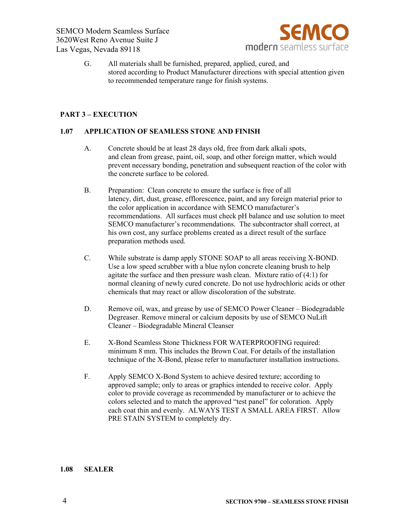

G. All materials shall be furnished, prepared, applied, cured, and stored according to Product Manufacturer directions with special attention given to recommended temperature range for finish systems.

# **PART 3 – EXECUTION**

## **1.07 APPLICATION OF SEAMLESS STONE AND FINISH**

- A. Concrete should be at least 28 days old, free from dark alkali spots, and clean from grease, paint, oil, soap, and other foreign matter, which would prevent necessary bonding, penetration and subsequent reaction of the color with the concrete surface to be colored.
- B. Preparation: Clean concrete to ensure the surface is free of all latency, dirt, dust, grease, efflorescence, paint, and any foreign material prior to the color application in accordance with SEMCO manufacturer's recommendations. All surfaces must check pH balance and use solution to meet SEMCO manufacturer's recommendations. The subcontractor shall correct, at his own cost, any surface problems created as a direct result of the surface preparation methods used.
- C. While substrate is damp apply STONE SOAP to all areas receiving X-BOND. Use a low speed scrubber with a blue nylon concrete cleaning brush to help agitate the surface and then pressure wash clean. Mixture ratio of (4:1) for normal cleaning of newly cured concrete. Do not use hydrochloric acids or other chemicals that may react or allow discoloration of the substrate.
- D. Remove oil, wax, and grease by use of SEMCO Power Cleaner Biodegradable Degreaser. Remove mineral or calcium deposits by use of SEMCO NuLift Cleaner – Biodegradable Mineral Cleanser
- E. X-Bond Seamless Stone Thickness FOR WATERPROOFING required: minimum 8 mm. This includes the Brown Coat. For details of the installation technique of the X-Bond, please refer to manufacturer installation instructions.
- F. Apply SEMCO X-Bond System to achieve desired texture; according to approved sample; only to areas or graphics intended to receive color. Apply color to provide coverage as recommended by manufacturer or to achieve the colors selected and to match the approved "test panel" for coloration. Apply each coat thin and evenly. ALWAYS TEST A SMALL AREA FIRST. Allow PRE STAIN SYSTEM to completely dry.

#### **1.08 SEALER**